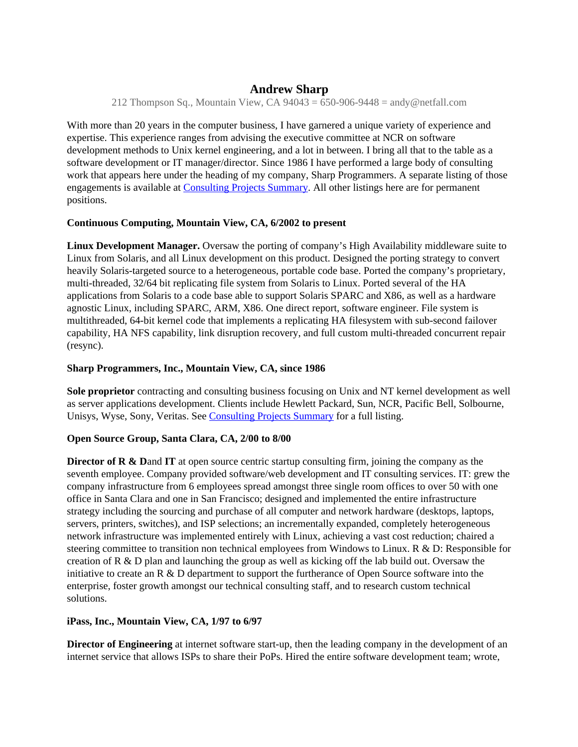# **Andrew Sharp**

212 Thompson Sq., Mountain View, CA  $94043 = 650-906-9448 =$  andy @netfall.com

With more than 20 years in the computer business, I have garnered a unique variety of experience and expertise. This experience ranges from advising the executive committee at NCR on software development methods to Unix kernel engineering, and a lot in between. I bring all that to the table as a software development or IT manager/director. Since 1986 I have performed a large body of consulting work that appears here under the heading of my company, Sharp Programmers. A separate listing of those engagements is available at Consulting Projects Summary. All other listings here are for permanent positions.

## **Continuous Computing, Mountain View, CA, 6/2002 to present**

**Linux Development Manager.** Oversaw the porting of company's High Availability middleware suite to Linux from Solaris, and all Linux development on this product. Designed the porting strategy to convert heavily Solaris-targeted source to a heterogeneous, portable code base. Ported the company's proprietary, multi-threaded, 32/64 bit replicating file system from Solaris to Linux. Ported several of the HA applications from Solaris to a code base able to support Solaris SPARC and X86, as well as a hardware agnostic Linux, including SPARC, ARM, X86. One direct report, software engineer. File system is multithreaded, 64-bit kernel code that implements a replicating HA filesystem with sub-second failover capability, HA NFS capability, link disruption recovery, and full custom multi-threaded concurrent repair (resync).

#### **Sharp Programmers, Inc., Mountain View, CA, since 1986**

**Sole proprietor** contracting and consulting business focusing on Unix and NT kernel development as well as server applications development. Clients include Hewlett Packard, Sun, NCR, Pacific Bell, Solbourne, Unisys, Wyse, Sony, Veritas. See Consulting Projects Summary for a full listing.

# **Open Source Group, Santa Clara, CA, 2/00 to 8/00**

**Director of R & Dand IT** at open source centric startup consulting firm, joining the company as the seventh employee. Company provided software/web development and IT consulting services. IT: grew the company infrastructure from 6 employees spread amongst three single room offices to over 50 with one office in Santa Clara and one in San Francisco; designed and implemented the entire infrastructure strategy including the sourcing and purchase of all computer and network hardware (desktops, laptops, servers, printers, switches), and ISP selections; an incrementally expanded, completely heterogeneous network infrastructure was implemented entirely with Linux, achieving a vast cost reduction; chaired a steering committee to transition non technical employees from Windows to Linux.  $R \& D$ : Responsible for creation of R  $\&$  D plan and launching the group as well as kicking off the lab build out. Oversaw the initiative to create an R & D department to support the furtherance of Open Source software into the enterprise, foster growth amongst our technical consulting staff, and to research custom technical solutions.

# **iPass, Inc., Mountain View, CA, 1/97 to 6/97**

**Director of Engineering** at internet software start-up, then the leading company in the development of an internet service that allows ISPs to share their PoPs. Hired the entire software development team; wrote,